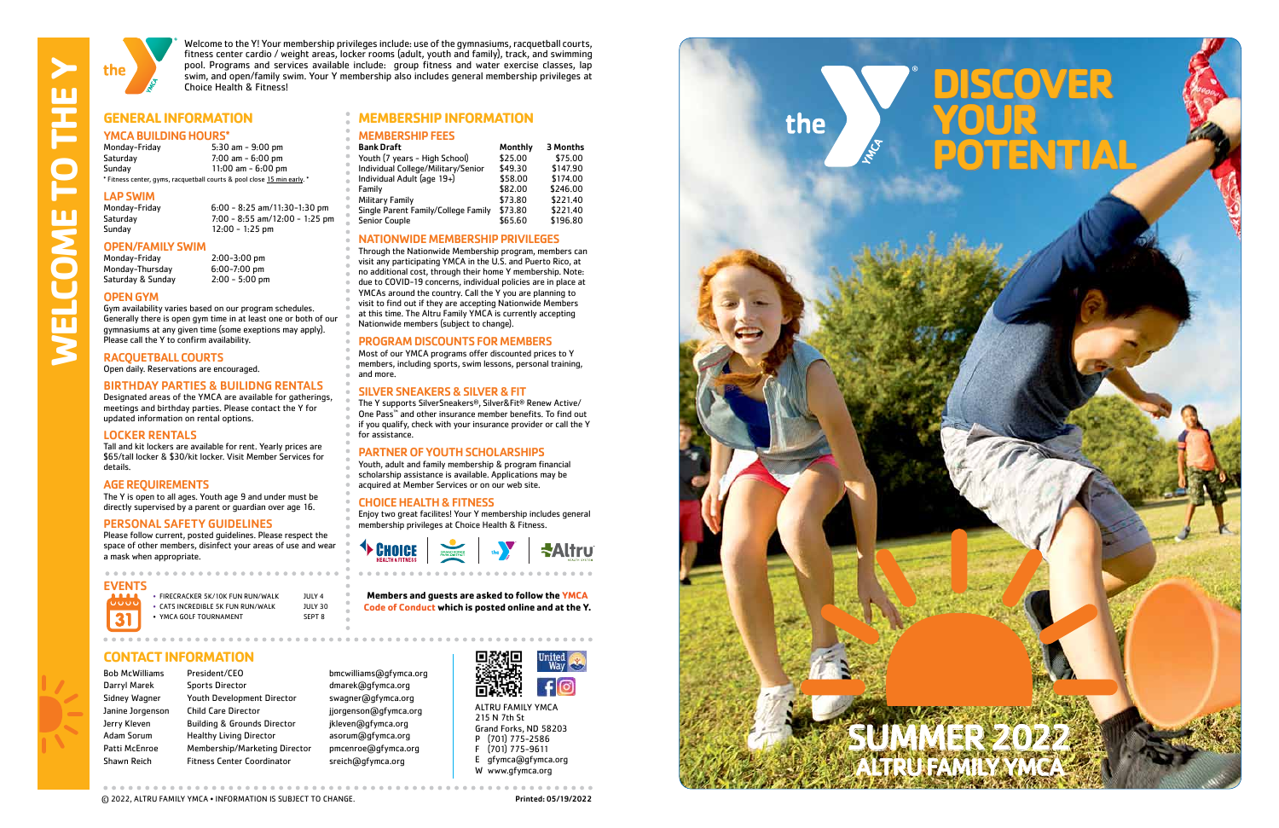**CARING • RESPECT • HONESTY • RESPONSIBILITY** 





Welcome to the Y! Your membership privileges include: use of the gymnasiums, racquetball courts, fitness center cardio / weight areas, locker rooms (adult, youth and family), track, and swimming pool. Programs and services available include: group fitness and water exercise classes, lap swim, and open/family swim. Your Y membership also includes general membership privileges at Choice Health & Fitness!

**MEMBERSHIP FEES**<br>Bank Draft

Individual Adult (age  $19+$ )

#### **GENERAL INFORMATION MEMBERSHIP INFORMATION**

#### YMCA BUILDING HOURS\*

NATIONWIDE MEMBERSHIP PRIVILEGES Through the Nationwide Membership program, members can visit any participating YMCA in the U.S. and Puerto Rico, at no additional cost, through their home Y membership. Note: due to COVID-19 concerns, individual policies are in place at YMCAs around the country. Call the Y you are planning to visit to find out if they are accepting Nationwide Members at this time. The Altru Family YMCA is currently accepting

Single Parent Family/College Family \$73.80

Youth (7 years - High School) \$25.00 \$75.00<br>Individual College/Military/Senior \$49.30 \$147.90 Individual College/Military/Senior \$49.30 \$147.90

Nationwide members (subject to change).

Family **1988** 582.00 \$246.00<br>Military Family 1988 573.80 \$221.40 Military Family \$73.80 \$221.40

Senior Couple 655.60 \$196.80

Monthly 3 Months

PROGRAM DISCOUNTS FOR MEMBERS Most of our YMCA programs offer discounted prices to Y members, including sports, swim lessons, personal training,

and more.

SILVER SNEAKERS & SILVER & FIT

The Y supports SilverSneakers ®, Silver&Fit ® Renew Active/ One Pass ™ and other insurance member benefits. To find out if you qualify, check with your insurance provider or call the Y

for assistance.

<sup>t</sup> CHOICE

Monday-Friday 6:00 - 8:25 am/11:30-1:30 pm Saturday 7:00 - 8:55 am/12:00 - 1:25 pm  $12:00 - 1:25$  pm

# **OPEN/FAMILY SWIM**<br>Monday-Friday

Monday-Thursday 6:00-7:00 pm<br>Saturday & Sunday 2:00 - 5:00 pm Saturday & Sunday

> PARTNER OF YOUTH SCHOLARSHIPS Youth, adult and family membership & program financial scholarship assistance is available. Applications may be acquired at Member Services or on our web site.

CHOICE HEALTH & FITNESS

Enjoy two great facilites! Your Y membership includes general

membership privileges at Choice Health & Fitness.

• FIRECRACKER 5K/10K FUN RUN/WALK JULY 4 • CATS INCREDIBLE 5K FUN RUN/WALK JULY 30 • YMCA GOLF TOURNAMENT SEPT 8

> ALTRU FAMILY YMCA 215 N 7th St Grand Forks, ND 58203 P (701) 775-2586 F (701) 775-9611 E gfymca@gfymca.org W www.gfymca.org



C 2022, ALTRU FAMILY YMCA • INFORMATION IS SUBJECT TO CHANGE. **Printed: 05/19/2022** 

| Monday-Friday                                                           | $5:30$ am $-9:00$ pm |
|-------------------------------------------------------------------------|----------------------|
| Saturday                                                                | $7:00$ am $-6:00$ pm |
| Sunday                                                                  | 11:00 am $-6:00$ pm  |
| * Fitness center, gyms, racquetball courts & pool close 15 min early. * |                      |

# **LAP SWIM**<br>Monday-Friday

#### OPEN GYM

Gym availability varies based on our program schedules. Generally there is open gym time in at least one or both of our gymnasiums at any given time (some exeptions may apply). Please call the Y to confirm availability.

2:00-3:00 pm<br>6:00-7:00 pm

#### RACQUETBALL COURTS

Open daily. Reservations are encouraged.

#### BIRTHDAY PARTIES & BUILIDNG RENTALS

Designated areas of the YMCA are available for gatherings, meetings and birthday parties. Please contact the Y for updated information on rental options.

#### LOCKER RENTALS

Tall and kit lockers are available for rent. Yearly prices are \$65/tall locker & \$30/kit locker. Visit Member Services for details.

#### AGE REQUIREMENTS

The Y is open to all ages. Youth age 9 and under must be directly supervised by a parent or guardian over age 16.

#### PERSONAL SAFETY GUIDELINES

Please follow current, posted guidelines. Please respect the space of other members, disinfect your areas of use and wear a mask when appropriate.

#### **CONTACT INFORMATION**

Bob McWilliams President/CEO bmcwilliams@gfymca.org Darryl Marek Sports Director by a dmarek@qfymca.org Sidney Wagner Youth Development Director swagner@gfymca.org Janine Jorgenson Child Care Director in a jjorgenson@gfymca.org Jerry Kleven Building & Grounds Director ikleven@gfymca.org Adam Sorum Healthy Living Director asorum@gfymca.org Patti McEnroe Membership/Marketing Director pmcenroe@gfymca.org Shawn Reich Fitness Center Coordinator sreich@qfymca.org



**Altru** 

**Members and guests are asked to follow the YMCA Code of Conduct which is posted online and at the Y.** 

#### EVENTS

**WELCOME TO THE Y** 

m

 $\blacksquare$ 

 $\overline{\mathbf{u}}$ 

S

Ì

 $\blacksquare$ 

ய

SUMMER 2022 ALTRU FAMILY YMCA

# **DISCOVER YOUR POTENTIAL**